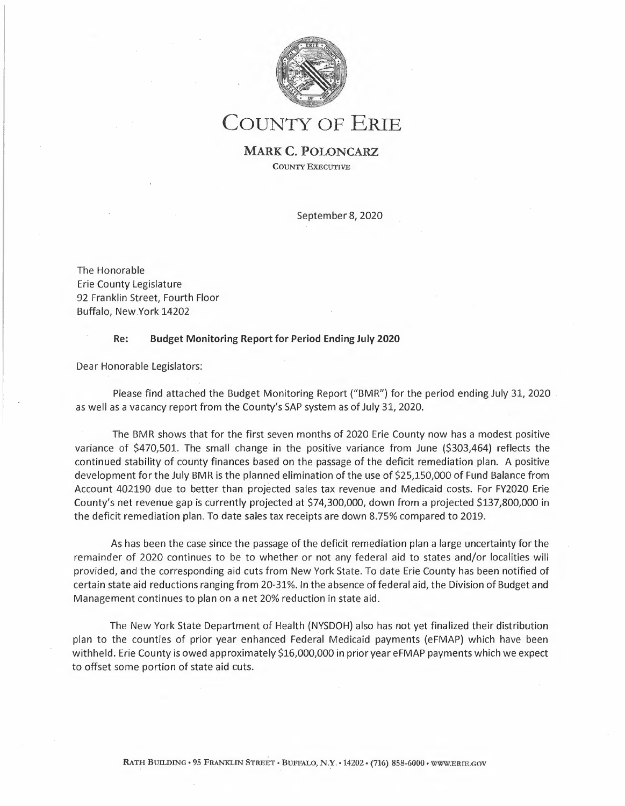

COUNTY OF ERIE

**MARK C. POLONCARZ COUNTY** EXECUTIVE

September 8, 2020

The Honorable Erie County Legislature 92 Franklin Street, Fourth Floor Buffalo, New York 14202

## **Re: Budget Monitoring Report for Period Ending July 2020**

Dear Honorable Legislators:

Please find attached the Budget Monitoring Report ("BMR") for the period ending July 31, 2020 as well as a vacancy report from the County's SAP system as of July 31, 2020.

The BMR shows that for the first seven months of 2020 Erie County now has a modest positive variance of \$470,501. The small change in the positive variance from June (\$303,464) reflects the continued stability of county finances based on the passage of the deficit remediation plan. A positive development for the July BMR is the planned elimination of the use of \$25,150,000 of Fund Balance from Account 402190 due to better than projected sales tax revenue and Medicaid costs. For FY2020 Erie County's net revenue gap is currently projected at \$74,300,000, down from a projected \$137,800,000 in the deficit remediation plan. To date sales tax receipts are down 8.75% compared to 2019.

As has been the case since the passage of the deficit remediation plan a large uncertainty for the remainder of 2020 continues to be to whether or not any federal aid to states and/or localities will provided, and the corresponding aid cuts from New York State. To date Erie County has been notified of certain state aid reductions ranging from 20-31%. In the absence of federal aid, the Division of Budget and Management continues to plan on a net 20% reduction in state aid.

The New York State Department of Health (NYSDOH) also has not yet finalized their distribution plan to the counties of prior year enhanced Federal Medicaid payments (eFMAP) which have been withheld. Erie County is owed approximately \$16,000,000 in prior year eFMAP payments which we expect to offset some portion of state aid cuts.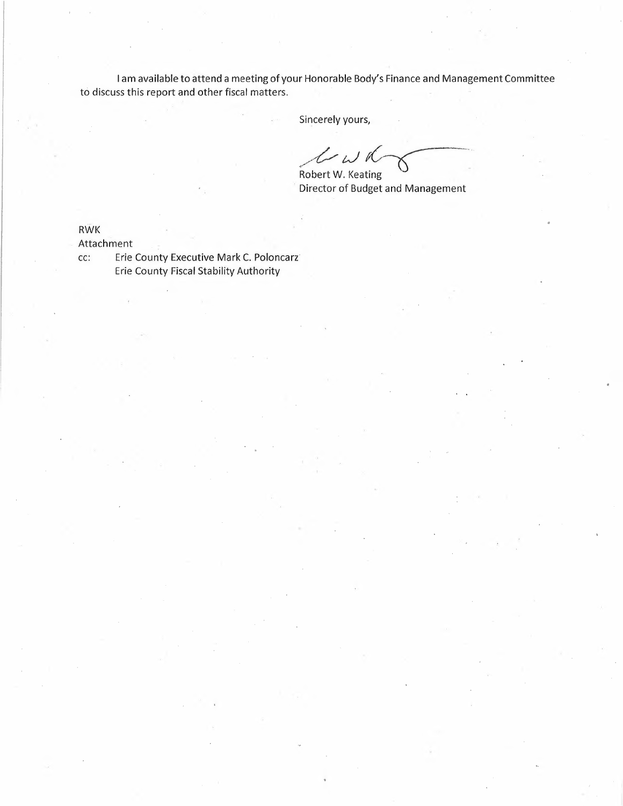I am available to attend a meeting of your Honorable Body's Finance and Management Committee to discuss this report and other fiscal matters.

 $\frac{1}{2\sqrt{2}}$  ,  $\alpha$ 

Sincerely yours,

*Phonorable Body's Finance and Manage*<br>
Sincerely yours,<br>
Robert W. Keating<br>
Director of Budget and Management Robert W. Keating

Director of Budget and Management

RWK

Attachment

cc: Erie County Executive Mark C. Poloncarz Erie County Fiscal Stability Authority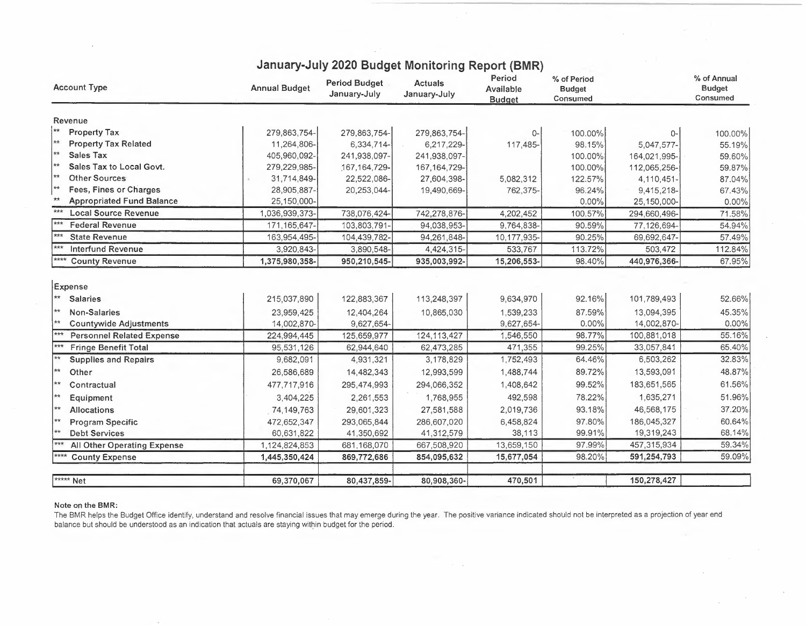| <b>Account Type</b>                                | <b>Annual Budget</b> | Period Budget<br>January-July | <b>Actuals</b><br>January-July | Period<br>Available<br><b>Budget</b> | % of Period<br><b>Budget</b><br>Consumed |              | % of Annual<br><b>Budget</b><br>Consumed |
|----------------------------------------------------|----------------------|-------------------------------|--------------------------------|--------------------------------------|------------------------------------------|--------------|------------------------------------------|
| Revenue                                            |                      |                               |                                |                                      |                                          |              |                                          |
| $\star\star$<br><b>Property Tax</b>                | 279,863,754-         | 279,863,754-                  | 279,863,754-                   | 0-                                   | 100.00%                                  | $0-$         | 100.00%                                  |
| $\star\star$<br><b>Property Tax Related</b>        | 11,264,806-          | 6,334,714-                    | 6,217,229-                     | 117,485-                             | 98.15%                                   | 5,047,577-   | 55.19%                                   |
| $\star\star$<br><b>Sales Tax</b>                   | 405,960,092-         | 241,938,097-                  | 241,938,097-                   |                                      | 100.00%                                  | 164,021,995- | 59.60%                                   |
| $\star\star$<br>Sales Tax to Local Govt.           | 279,229,985-         | 167, 164, 729-                | 167, 164, 729-                 |                                      | 100.00%                                  | 112,065,256- | 59.87%                                   |
| $\star\star$<br><b>Other Sources</b>               | 31,714,849-          | 22,522,086-                   | 27,604,398-                    | 5,082,312                            | 122.57%                                  | 4,110,451-   | 87.04%                                   |
| $**$<br>Fees, Fines or Charges                     | 28,905,887-          | 20,253,044-                   | 19,490,669-                    | 762,375-                             | 96.24%                                   | 9,415,218-   | 67.43%                                   |
| $\star\star$<br><b>Appropriated Fund Balance</b>   | 25,150,000-          |                               |                                |                                      | $0.00\%$                                 | 25,150,000-  | 0.00%                                    |
| ***<br><b>Local Source Revenue</b>                 | 1,036,939,373-       | 738,076,424-                  | 742,278,876-                   | 4,202,452                            | 100.57%                                  | 294,660,496- | 71.58%                                   |
| $***$<br><b>Federal Revenue</b>                    | 171,165,647-         | 103,803,791-                  | 94,038,953-                    | 9,764,838-                           | 90.59%                                   | 77,126,694-  | 54.94%                                   |
| $***$<br><b>State Revenue</b>                      | 163,954,495-         | 104,439,782-                  | 94,261,848-                    | 10,177,935-                          | 90.25%                                   | 69,692,647-  | 57.49%                                   |
| <b>Interfund Revenue</b>                           | 3,920,843-           | 3,890,548-                    | 4,424,315-                     | 533,767                              | 113.72%                                  | 503,472      | 112.84%                                  |
| <b>County Revenue</b>                              | 1,375,980,358-       | 950,210,545-                  | 935,003,992-                   | 15,206,553-                          | 98.40%                                   | 440,976,366- | 67.95%                                   |
| Expense<br>$**$<br><b>Salaries</b><br>$\star\star$ | 215,037,890          | 122,883,367                   | 113,248,397                    | 9,634,970                            | 92.16%                                   | 101,789,493  | 52.66%                                   |
| Non-Salaries<br>  ★★                               | 23,959,425           | 12,404,264                    | 10,865,030                     | 1,539,233                            | 87.59%                                   | 13,094,395   | 45.35%                                   |
| <b>Countywide Adjustments</b><br>$***$             | 14,002,870-          | 9,627,654-                    |                                | 9,627,654-                           | 0.00%                                    | 14,002,870-  | 0.00%                                    |
| <b>Personnel Related Expense</b>                   | 224,994,445          | 125,659,977                   | 124, 113, 427                  | 1,546,550                            | 98.77%                                   | 100,881,018  | 55.16%                                   |
| <b>Fringe Benefit Total</b><br>$**$                | 95,531,126           | 62,944,640                    | 62,473,285                     | 471,355                              | 99.25%                                   | 33,057,841   | 65.40%                                   |
| <b>Supplies and Repairs</b>                        | 9,682,091            | 4,931,321                     | 3,178,829                      | 1,752,493                            | 64.46%                                   | 6,503,262    | 32.83%                                   |
| ╎★★<br>Other                                       | 26,586,689           | 14,482,343                    | 12,993,599                     | 1,488,744                            | 89.72%                                   | 13,593,091   | 48.87%                                   |
| $**$<br>Contractual                                | 477,717,916          | 295,474,993                   | 294,066,352                    | 1,408,642                            | 99.52%                                   | 183,651,565  | 61.56%                                   |
| $\star\star$<br>Equipment                          | 3,404,225            | 2,261,553                     | 1,768,955                      | 492,598                              | 78.22%                                   | 1,635,271    | 51.96%                                   |
| **<br>Allocations                                  | 74,149,763           | 29,601,323                    | 27,581,588                     | 2,019,736                            | 93.18%                                   | 46,568,175   | 37.20%                                   |
| **<br><b>Program Specific</b>                      | 472,652,347          | 293,065,844                   | 286,607,020                    | 6,458,824                            | 97.80%                                   | 186,045,327  | 60.64%                                   |
| ¦∗∗<br><b>Debt Services</b>                        | 60,631,822           | 41,350,692                    | 41,312,579                     | 38,113                               | 99.91%                                   | 19,319,243   | 68.14%                                   |
| $***$<br>All Other Operating Expense               | 1,124,824,853        | 681,168,070                   | 667,508,920                    | 13,659,150                           | 97.99%                                   | 457,315,934  | 59.34%                                   |
| $****$<br><b>County Expense</b>                    | 1,445,350,424        | 869,772,686                   | 854,095,632                    | 15,677,054                           | 98.20%                                   | 591,254,793  | 59.09%                                   |
|                                                    |                      |                               |                                |                                      |                                          |              |                                          |
| <b>xxxxx</b> Net                                   | 69,370,067           | 80,437,859-                   | 80,908,360-                    | 470,501                              |                                          | 150,278,427  |                                          |

## **January-July 2020 Budget Monitoring Report (BMR)**

## **Note on the BMR:**

The BMR helps the Budget Office identify, understand and resolve financial issues that may emerge during the year. The positive variance indicated should not be interpreted as a projection of year end balance but should be understood as an indication that actuals are staying within budget for the period.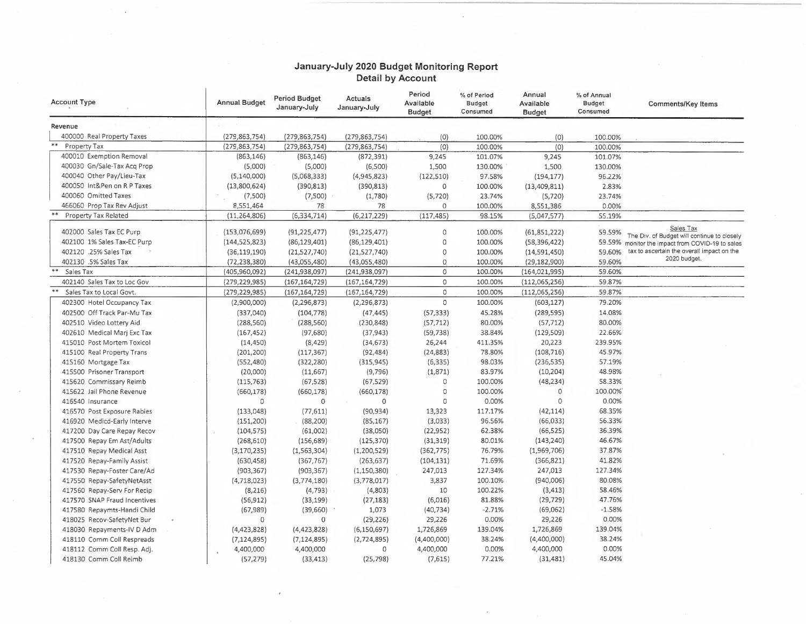## **January-July 2020 Budget Monitoring Report Detail by Account**

 $\overline{\phantom{a}}$ 

| <b>Account Type</b>          | <b>Annual Budget</b>     | <b>Period Budget</b><br>January-July | Actuals<br>January-July   | Period<br>Available<br><b>Budget</b> | % of Period<br><b>Budget</b><br>Consumed | Annual<br>Available<br><b>Budget</b> | % of Annual<br><b>Budget</b><br>Consumed | Comments/Key Items                                                                              |
|------------------------------|--------------------------|--------------------------------------|---------------------------|--------------------------------------|------------------------------------------|--------------------------------------|------------------------------------------|-------------------------------------------------------------------------------------------------|
| Revenue                      |                          |                                      |                           |                                      |                                          |                                      |                                          |                                                                                                 |
| 400000 Real Property Taxes   | (279, 863, 754)          | (279, 863, 754)                      | (279, 863, 754)           | (0)                                  | 100.00%                                  | (0)                                  | 100.00%                                  |                                                                                                 |
| Property Tax                 | (279, 863, 754)          | (279, 863, 754)                      | (279, 863, 754)           | (0)                                  | 100.00%                                  | (0)                                  | 100.00%                                  |                                                                                                 |
| 400010 Exemption Removal     | (863, 146)               | (863, 146)                           | (872, 391)                | 9,245                                | 101.07%                                  | 9,245                                | 101.07%                                  |                                                                                                 |
| 400030 Gn/Sale-Tax Acq Prop  | (5,000)                  | (5,000)                              | (6,500)                   | 1,500                                | 130.00%                                  | 1,500                                | 130.00%                                  |                                                                                                 |
| 400040 Other Pay/Lieu-Tax    | (5,140,000)              | (5,068,333)                          | (4,945,823)               | (122, 510)                           | 97.58%                                   | (194, 177)                           | 96.22%                                   |                                                                                                 |
| 400050 Int&Pen on R P Taxes  | (13,800,624)             | (390, 813)                           | (390, 813)                | $\mathbf 0$                          | 100.00%                                  | (13,409,811)                         | 2.83%                                    |                                                                                                 |
| 400060 Omitted Taxes         | (7,500)                  | (7,500)                              | (1,780)                   | (5, 720)                             | 23.74%                                   | (5, 720)                             | 23.74%                                   |                                                                                                 |
| 466060 Prop Tax Rev Adjust   | 8,551,464                | 78                                   | 78                        | 0                                    | 100.00%                                  | 8,551,386                            | 0.00%                                    |                                                                                                 |
| Property Tax Related         | (11, 264, 806)           | (6, 334, 714)                        | (6, 217, 229)             | (117, 485)                           | 98.15%                                   | (5,047,577)                          | 55.19%                                   |                                                                                                 |
| 402000 Sales Tax EC Purp     | (153,076,699)            | (91, 225, 477)                       | (91, 225, 477)            | 0                                    | 100.00%                                  | (61, 851, 222)                       | 59.59%                                   | Sales Tax                                                                                       |
| 402100 1% Sales Tax-EC Purp  | (144, 525, 823)          | (86, 129, 401)                       | (86, 129, 401)            | 0                                    | 100.00%                                  | (58, 396, 422)                       |                                          | The Div. of Budget will continue to closely<br>59.59% monitor the impact from COVID-19 to sales |
| 402120 .25% Sales Tax        | (36, 119, 190)           | (21,527,740)                         | (21,527,740)              | 0                                    | 100.00%                                  | (14,591,450)                         | 59.60%                                   | tax to ascertain the overall impact on the                                                      |
| 402130 .5% Sales Tax         | (72, 238, 380)           | (43,055,480)                         | (43,055,480)              | 0                                    | 100.00%                                  | (29, 182, 900)                       | 59.60%                                   | 2020 budget.                                                                                    |
| **<br>Sales Tax              | (405,960,092)            | (241, 938, 097)                      | (241, 938, 097)           | 0                                    | 100.00%                                  | (164, 021, 995)                      | 59.60%                                   |                                                                                                 |
| 402140 Sales Tax to Loc Gov  | (279, 229, 985)          | (167, 164, 729)                      | (167, 164, 729)           | $\circ$                              | 100.00%                                  | (112,065,256)                        | 59.87%                                   |                                                                                                 |
| Sales Tax to Local Govt.     | (279,229,985)            | (167, 164, 729)                      | (167, 164, 729)           | 0                                    | 100.00%                                  | (112,065,256)                        | 59.87%                                   |                                                                                                 |
| 402300 Hotel Occupancy Tax   | (2,900,000)              | (2, 296, 873)                        | (2, 296, 873)             | $\circ$                              | 100.00%                                  | (603, 127)                           | 79.20%                                   |                                                                                                 |
| 402500 Off Track Par-Mu Tax  | (337,040)                | (104, 778)                           | (47, 445)                 | (57, 333)                            | 45.28%                                   | (289, 595)                           | 14.08%                                   |                                                                                                 |
| 402510 Video Lottery Aid     | (288, 560)               | (288, 560)                           | (230, 848)                | (57, 712)                            | 80.00%                                   | (57, 712)                            | 80.00%                                   |                                                                                                 |
| 402610 Medical Marj Exc Tax  | (167, 452)               | (97,680)                             | (37, 943)                 | (59, 738)                            | 38.84%                                   | (129, 509)                           | 22.66%                                   |                                                                                                 |
| 415010 Post Mortem Toxicol   | (14, 450)                | (8, 429)                             | (34, 673)                 | 26,244                               | 411.35%                                  | 20,223                               | 239.95%                                  |                                                                                                 |
| 415100 Real Property Trans   | (201, 200)               | (117, 367)                           | (92, 484)                 | (24, 883)                            | 78.80%                                   | (108, 716)                           | 45.97%                                   |                                                                                                 |
| 415160 Mortgage Tax          | (552, 480)               | (322, 280)                           | (315, 945)                | (6, 335)                             | 98.03%                                   | (236, 535)                           | 57.19%                                   |                                                                                                 |
| 415500 Prisoner Transport    | (20,000)                 |                                      | (9,796)                   | (1,871)                              | 83.97%                                   | (10, 204)                            | 48.98%                                   |                                                                                                 |
| 415620 Commissary Reimb      | (115, 763)               | (11,667)<br>(67, 528)                | (67, 529)                 | 0                                    | 100.00%                                  | (48, 234)                            | 58.33%                                   |                                                                                                 |
| 415622 Jail Phone Revenue    |                          |                                      |                           | $\circ$                              | 100.00%                                  | 0                                    | 100.00%                                  |                                                                                                 |
| 416540 Insurance             | (660, 178)<br>0          | (660, 178)<br>$\mathbf 0$            | (660, 178)<br>$\mathbf 0$ | $\Omega$                             | 0.00%                                    | $\circ$                              | 0.00%                                    |                                                                                                 |
| 416570 Post Exposure Rabies  | (133, 048)               | (77, 611)                            | (90, 934)                 | 13,323                               | 117.17%                                  | (42, 114)                            | 68.35%                                   |                                                                                                 |
| 416920 Medicd-Early Interve  |                          | (88, 200)                            | (85, 167)                 | (3,033)                              | 96.56%                                   | (66, 033)                            | 56.33%                                   |                                                                                                 |
| 417200 Day Care Repay Recov  | (151, 200)<br>(104, 575) | (61,002)                             |                           | (22, 952)                            | 62.38%                                   | (66, 525)                            | 36.39%                                   |                                                                                                 |
| 417500 Repay Em Ast/Adults   | (268, 610)               | (156, 689)                           | (38,050)<br>(125, 370)    | (31, 319)                            | 80.01%                                   | (143, 240)                           | 46.67%                                   |                                                                                                 |
| 417510 Repay Medical Asst    | (3, 170, 235)            | (1,563,304)                          |                           | (362, 775)                           | 76.79%                                   | (1,969,706)                          | 37.87%                                   |                                                                                                 |
| 417520 Repay-Family Assist   |                          | (367, 767)                           | (1,200,529)<br>(263, 637) | (104, 131)                           | 71.69%                                   | (366, 821)                           | 41.82%                                   |                                                                                                 |
|                              | (630, 458)               |                                      |                           |                                      | 127.34%                                  |                                      | 127.34%                                  |                                                                                                 |
| 417530 Repay-Foster Care/Ad  | (903, 367)               | (903, 367)                           | (1, 150, 380)             | 247,013<br>3,837                     | 100.10%                                  | 247,013<br>(940,006)                 | 80.08%                                   |                                                                                                 |
| 417550 Repay-SafetyNetAsst   | (4, 718, 023)            | (3,774,180)                          | (3,778,017)               | 10                                   | 100.22%                                  |                                      | 58.46%                                   |                                                                                                 |
| 417560 Repay-Serv For Recip  | (8, 216)                 | (4, 793)                             | (4,803)                   |                                      |                                          | (3, 413)                             | 47.76%                                   |                                                                                                 |
| 417570 SNAP Fraud Incentives | (56, 912)                | (33, 199)                            | (27, 183)                 | (6,016)                              | 81.88%<br>$-2.71%$                       | (29, 729)                            | $-1.58%$                                 |                                                                                                 |
| 417580 Repaymts-Handi Child  | (67, 989)                | (39,660)                             | 1,073                     | (40, 734)                            |                                          | (69,062)                             | 0.00%                                    |                                                                                                 |
| 418025 Recov-SafetyNet Bur   | 0                        | 0                                    | (29, 226)                 | 29,226                               | 0.00%                                    | 29,226                               | 139.04%                                  |                                                                                                 |
| 418030 Repayments-IV D Adm   | (4,423,828)              | (4, 423, 828)                        | (6, 150, 697)             | 1,726,869                            | 139.04%                                  | 1,726,869                            |                                          |                                                                                                 |
| 418110 Comm Coll Respreads   | (7, 124, 895)            | (7, 124, 895)                        | (2,724,895)               | (4,400,000)                          | 38.24%                                   | (4,400,000)                          | 38.24%<br>0.00%                          |                                                                                                 |
| 418112 Comm Coll Resp. Adj.  | 4,400,000                | 4,400,000                            | 0                         | 4,400,000                            | 0.00%                                    | 4,400,000                            |                                          |                                                                                                 |
| 418130 Comm Coll Reimb       | (57, 279)                | (33, 413)                            | (25, 798)                 | (7,615)                              | 77.21%                                   | (31, 481)                            | 45.04%                                   |                                                                                                 |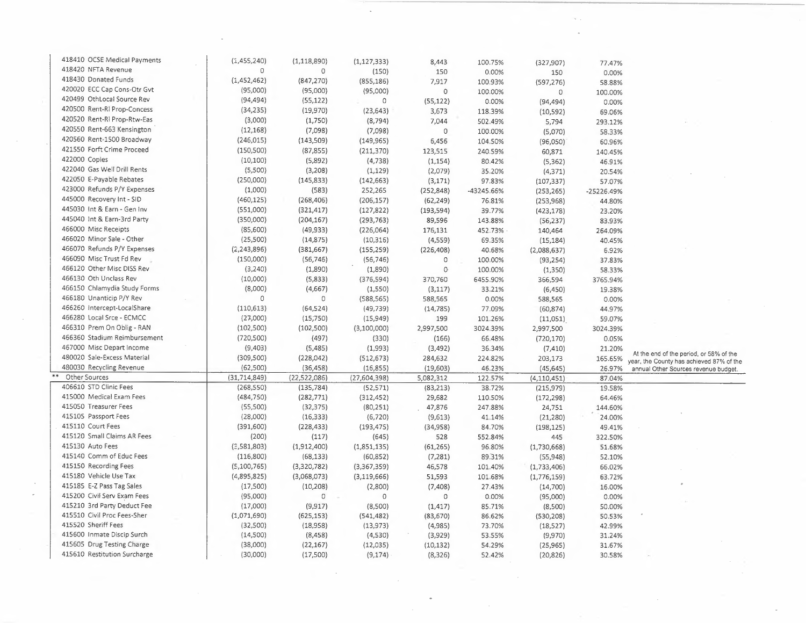| 418410 OCSE Medical Payments | (1,455,240)    | (1, 118, 890)  | (1, 127, 333) | 8,443               | 100.75%          | (327, 907)         | 77.47%       |                                          |
|------------------------------|----------------|----------------|---------------|---------------------|------------------|--------------------|--------------|------------------------------------------|
| 418420 NFTA Revenue          | $\circ$        | 0              | (150)         | 150                 | 0.00%            | 150                | 0.00%        |                                          |
| 418430 Donated Funds         | (1,452,462)    | (847, 270)     | (855, 186)    | 7,917               | 100.93%          | (597, 276)         | 58.88%       |                                          |
| 420020 ECC Cap Cons-Otr Gvt  | (95,000)       | (95,000)       | (95,000)      | 0                   | 100.00%          | $\mathbf 0$        | 100.00%      |                                          |
| 420499 OthLocal Source Rev   | (94, 494)      | (55, 122)      | $\circ$       | (55, 122)           | 0.00%            | (94, 494)          | 0.00%        |                                          |
| 420500 Rent-RI Prop-Concess  | (34, 235)      | (19,970)       | (23, 643)     | 3,673               | 118.39%          | (10, 592)          | 69.06%       |                                          |
| 420520 Rent-RI Prop-Rtw-Eas  | (3,000)        | (1,750)        | (8, 794)      | 7,044               | 502.49%          | 5,794              | 293.12%      |                                          |
| 420550 Rent-663 Kensington   | (12, 168)      | (7,098)        | (7,098)       | $\Omega$            | 100.00%          | (5,070)            | 58.33%       |                                          |
| 420560 Rent-1500 Broadway    | (246, 015)     | (143, 509)     | (149, 965)    | 6,456               | 104.50%          |                    | 60.96%       |                                          |
| 421550 Forft Crime Proceed   | (150, 500)     | (87, 855)      | (211, 370)    | 123,515             | 240.59%          | (96,050)<br>60,871 |              |                                          |
| 422000 Copies                | (10, 100)      | (5,892)        | (4, 738)      |                     |                  |                    | 140.45%      |                                          |
| 422040 Gas Well Drill Rents  | (5,500)        | (3,208)        | (1, 129)      | (1, 154)<br>(2,079) | 80.42%<br>35.20% | (5, 362)           | 46.91%       |                                          |
| 422050 E-Payable Rebates     | (250,000)      | (145, 833)     | (142, 663)    |                     | 97.83%           | (4, 371)           | 20.54%       |                                          |
| 423000 Refunds P/Y Expenses  | (1,000)        | (583)          |               | (3, 171)            |                  | (107, 337)         | 57.07%       |                                          |
| 445000 Recovery Int - SID    | (460, 125)     |                | 252,265       | (252, 848)          | -43245.66%       | (253, 265)         | $-25226.49%$ |                                          |
| 445030 Int & Earn - Gen Inv  |                | (268, 406)     | (206, 157)    | (62, 249)           | 76.81%           | (253, 968)         | 44.80%       |                                          |
| 445040 Int & Earn-3rd Party  | (551,000)      | (321, 417)     | (127, 822)    | (193, 594)          | 39.77%           | (423, 178)         | 23.20%       |                                          |
|                              | (350,000)      | (204, 167)     | (293, 763)    | 89,596              | 143.88%          | (56, 237)          | 83.93%       |                                          |
| 466000 Misc Receipts         | (85,600)       | (49, 933)      | (226,064)     | 176,131             | 452.73%          | 140,464            | 264.09%      |                                          |
| 466020 Minor Sale - Other    | (25,500)       | (14, 875)      | (10, 316)     | (4,559)             | 69.35%           | (15, 184)          | 40.45%       |                                          |
| 466070 Refunds P/Y Expenses  | (2, 243, 896)  | (381,667)      | (155, 259)    | (226, 408)          | 40.68%           | (2,088,637)        | 6.92%        |                                          |
| 466090 Misc Trust Fd Rev     | (150,000)      | (56, 746)      | (56, 746)     | $\Omega$            | 100.00%          | (93, 254)          | 37.83%       |                                          |
| 466120 Other Misc DISS Rev   | (3,240)        | (1,890)        | (1,890)       | 0                   | 100.00%          | (1, 350)           | 58.33%       |                                          |
| 466130 Oth Unclass Rev       | (10,000)       | (5,833)        | (376, 594)    | 370,760             | 6455.90%         | 366,594            | 3765.94%     |                                          |
| 466150 Chlamydia Study Forms | (8,000)        | (4,667)        | (1,550)       | (3, 117)            | 33.21%           | (6, 450)           | 19.38%       |                                          |
| 466180 Unanticip P/Y Rev     | $\circ$        | 0              | (588, 565)    | 588,565             | 0.00%            | 588,565            | 0.00%        |                                          |
| 466260 Intercept-LocalShare  | (110, 613)     | (64, 524)      | (49, 739)     | (14, 785)           | 77.09%           | (60, 874)          | 44.97%       |                                          |
| 466280 Local Srce - ECMCC    | (27,000)       | (15,750)       | (15,949)      | 199                 | 101.26%          | (11,051)           | 59.07%       |                                          |
| 466310 Prem On Oblig - RAN   | (102, 500)     | (102,500)      | (3,100,000)   | 2,997,500           | 3024.39%         | 2,997,500          | 3024.39%     |                                          |
| 466360 Stadium Reimbursement | (720, 500)     | (497)          | (330)         | (166)               | 66.48%           | (720, 170)         | 0.05%        |                                          |
| 467000 Misc Depart Income    | (9,403)        | (5,485)        | (1,993)       | (3, 492)            | 36.34%           | (7, 410)           | 21.20%       | At the end of the period, or 58% of the  |
| 480020 Sale-Excess Material  | (309, 500)     | (228, 042)     | (512, 673)    | 284,632             | 224.82%          | 203,173            | 165.65%      | year, the County has achieved 87% of the |
| 480030 Recycling Revenue     | (62, 500)      | (36, 458)      | (16, 855)     | (19, 603)           | 46.23%           | (45, 645)          | 26.97%       | annual Other Sources revenue budget.     |
| Other Sources                | (31, 714, 849) | (22, 522, 086) | (27,604,398)  | 5,082,312           | 122.57%          | (4, 110, 451)      | 87.04%       |                                          |
| 406610 STD Clinic Fees       | (268, 550)     | (135, 784)     | (52, 571)     | (83, 213)           | 38.72%           | (215, 979)         | 19.58%       |                                          |
| 415000 Medical Exam Fees     | (484, 750)     | (282, 771)     | (312, 452)    | 29,682              | 110.50%          | (172, 298)         | 64.46%       |                                          |
| 415050 Treasurer Fees        | (55,500)       | (32, 375)      | (80, 251)     | 47,876              | 247.88%          | 24,751             | 144.60%      |                                          |
| 415105 Passport Fees         | (28,000)       | (16, 333)      | (6, 720)      | (9,613)             | 41.14%           | (21, 280)          | 24.00%       |                                          |
| 415110 Court Fees            | (391, 600)     | (228, 433)     | (193, 475)    | (34, 958)           | 84.70%           | (198, 125)         | 49.41%       |                                          |
| 415120 Small Claims AR Fees  | (200)          | (117)          | (645)         | 528                 | 552.84%          | 445                | 322.50%      |                                          |
| 415130 Auto Fees             | (2,581,803)    | (1,912,400)    | (1,851,135)   | (61, 265)           | 96.80%           | (1,730,668)        | 51.68%       |                                          |
| 415140 Comm of Educ Fees     | (116,800)      | (68, 133)      | (60, 852)     | (7, 281)            | 89.31%           | (55, 948)          | 52.10%       |                                          |
| 415150 Recording Fees        | (5,100,765)    | (3,320,782)    | (3,367,359)   | 46,578              | 101.40%          | (1,733,406)        | 66.02%       |                                          |
| 415180 Vehicle Use Tax       | (4,895,825)    | (3,068,073)    | (3, 119, 666) | 51,593              | 101.68%          | (1,776,159)        | 63.72%       |                                          |
| 415185 E-Z Pass Tag Sales    | (17,500)       | (10, 208)      | (2,800)       | (7, 408)            | 27.43%           | (14,700)           | 16.00%       |                                          |
| 415200 Civil Serv Exam Fees  | (95,000)       | 0              | $\mathbf 0$   | $\mathbf 0$         | 0.00%            | (95,000)           | 0.00%        |                                          |
| 415210 3rd Party Deduct Fee  | (17,000)       | (9, 917)       | (8,500)       | (1, 417)            | 85.71%           | (8,500)            | 50.00%       |                                          |
| 415510 Civil Proc Fees-Sher  | (1,071,690)    | (625, 153)     | (541, 482)    | (83, 670)           | 86.62%           | (530, 208)         | 50.53%       |                                          |
| 415520 Sheriff Fees          | (32,500)       | (18,958)       | (13, 973)     | (4,985)             | 73.70%           | (18, 527)          | 42.99%       |                                          |
| 415600 Inmate Discip Surch   | (14,500)       | (8, 458)       | (4,530)       | (3,929)             | 53.55%           | (9,970)            | 31.24%       |                                          |
| 415605 Drug Testing Charge   | (38,000)       | (22, 167)      | (12,035)      | (10, 132)           | 54.29%           | (25, 965)          | 31.67%       |                                          |
| 415610 Restitution Surcharge | (30,000)       | (17,500)       | (9, 174)      | (8,326)             | 52.42%           | (20, 826)          | 30.58%       |                                          |

 $\mathcal{A}^{\text{max}}_{\text{max}}$ 

 $\bar{z}$ 

 $\begin{array}{c} \mathbb{R}^3 \times \mathbb{R}^3 \times \mathbb{R}^3 \times \mathbb{R}^3 \times \mathbb{R}^3 \times \mathbb{R}^3 \times \mathbb{R}^3 \times \mathbb{R}^3 \times \mathbb{R}^3 \times \mathbb{R}^3 \times \mathbb{R}^3 \times \mathbb{R}^3 \times \mathbb{R}^3 \times \mathbb{R}^3 \times \mathbb{R}^3 \times \mathbb{R}^3 \times \mathbb{R}^3 \times \mathbb{R}^3 \times \mathbb{R}^3 \times \mathbb{R}^3 \times \mathbb{R}^3 \times \mathbb$ 

 $\sim$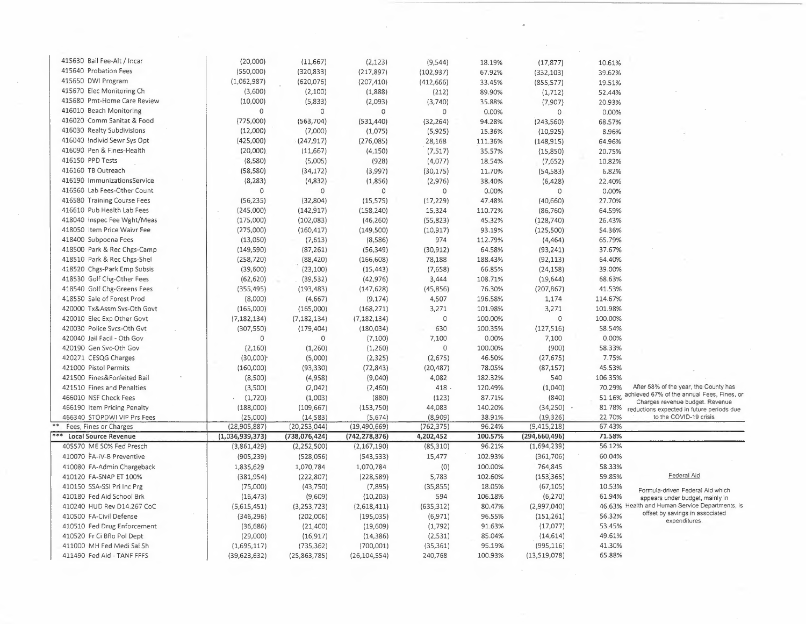| 415630 Bail Fee-Alt / Incar | (20,000)                | (11, 667)       | (2, 123)        | (9, 544)    | 18.19%  | (17, 877)       | 10.61%  |                                                                               |
|-----------------------------|-------------------------|-----------------|-----------------|-------------|---------|-----------------|---------|-------------------------------------------------------------------------------|
| 415640 Probation Fees       | (550,000)               | (320, 833)      | (217, 897)      | (102, 937)  | 67.92%  | (332, 103)      | 39.62%  |                                                                               |
| 415650 DWI Program          | (1,062,987)             | (620, 076)      | (207, 410)      | (412, 666)  | 33.45%  | (855, 577)      | 19.51%  |                                                                               |
| 415670 Elec Monitoring Ch   | (3,600)                 | (2,100)         | (1,888)         | (212)       | 89.90%  | (1, 712)        | 52.44%  |                                                                               |
| 415680 Pmt-Home Care Review | (10,000)                | (5,833)         | (2,093)         | (3,740)     | 35.88%  | (7, 907)        | 20.93%  |                                                                               |
| 416010 Beach Monitoring     | $\circ$                 | $\mathbf 0$     | $\circ$         | $\circ$     | 0.00%   | 0               | 0.00%   |                                                                               |
| 416020 Comm Sanitat & Food  | (775,000)               | (563, 704)      | (531, 440)      | (32, 264)   | 94.28%  | (243, 560)      | 68.57%  |                                                                               |
| 416030 Realty Subdivisions  | (12,000)                | (7,000)         | (1,075)         | (5,925)     | 15.36%  | (10, 925)       | 8.96%   |                                                                               |
| 416040 Individ Sewr Sys Opt | (425,000)               | (247, 917)      | (276, 085)      | 28,168      | 111.36% | (148, 915)      | 64.96%  |                                                                               |
| 416090 Pen & Fines-Health   | (20,000)                | (11,667)        | (4, 150)        | (7, 517)    | 35.57%  | (15,850)        | 20.75%  |                                                                               |
| 416150 PPD Tests            | (8,580)                 | (5,005)         | (928)           | (4,077)     | 18.54%  | (7,652)         | 10.82%  |                                                                               |
| 416160 TB Outreach          | (58, 580)               | (34, 172)       | (3,997)         | (30, 175)   | 11.70%  | (54, 583)       | 6.82%   |                                                                               |
| 416190 ImmunizationsService | (8, 283)                | (4,832)         | (1,856)         | (2,976)     | 38.40%  | (6,428)         | 22.40%  |                                                                               |
| 416560 Lab Fees-Other Count | $\mathbf 0$             | 0               | $\circ$         | $\mathbf 0$ | 0.00%   | $\circ$         | 0.00%   |                                                                               |
| 416580 Training Course Fees | (56, 235)               | (32,804)        | (15, 575)       | (17, 229)   | 47.48%  | (40, 660)       | 27.70%  |                                                                               |
| 416610 Pub Health Lab Fees  | (245,000)               | (142, 917)      | (158, 240)      | 15,324      | 110.72% | (86, 760)       | 64.59%  |                                                                               |
| 418040 Inspec Fee Wght/Meas | (175,000)               | (102,083)       |                 |             | 45.32%  |                 | 26.43%  |                                                                               |
| 418050 Item Price Waivr Fee | (275,000)               |                 | (46, 260)       | (55, 823)   | 93.19%  | (128, 740)      | 54.36%  |                                                                               |
| 418400 Subpoena Fees        |                         | (160, 417)      | (149,500)       | (10, 917)   |         | (125, 500)      |         |                                                                               |
|                             | (13,050)                | (7,613)         | (8,586)         | 974         | 112.79% | (4, 464)        | 65.79%  |                                                                               |
| 418500 Park & Rec Chgs-Camp | (149, 590)              | (87, 261)       | (56, 349)       | (30, 912)   | 64.58%  | (93, 241)       | 37.67%  |                                                                               |
| 418510 Park & Rec Chgs-Shel | (258, 720)              | (88, 420)       | (166, 608)      | 78,188      | 188.43% | (92, 113)       | 64.40%  |                                                                               |
| 418520 Chgs-Park Emp Subsis | (39,600)                | (23, 100)       | (15, 443)       | (7,658)     | 66.85%  | (24, 158)       | 39.00%  |                                                                               |
| 418530 Golf Chg-Other Fees  | (62, 620)               | (39, 532)       | (42, 976)       | 3,444       | 108.71% | (19, 644)       | 68.63%  |                                                                               |
| 418540 Golf Chg-Greens Fees | (355, 495)              | (193, 483)      | (147, 628)      | (45, 856)   | 76.30%  | (207, 867)      | 41.53%  |                                                                               |
| 418550 Sale of Forest Prod  | (8,000)                 | (4,667)         | (9, 174)        | 4,507       | 196.58% | 1,174           | 114.67% |                                                                               |
| 420000 Tx&Assm Svs-Oth Govt | (165,000)               | (165,000)       | (168, 271)      | 3,271       | 101.98% | 3,271           | 101.98% |                                                                               |
| 420010 Elec Exp Other Govt  | (7, 182, 134)           | (7, 182, 134)   | (7, 182, 134)   | 0           | 100.00% | $\circ$         | 100.00% |                                                                               |
| 420030 Police Svcs-Oth Gvt  | (307, 550)              | (179, 404)      | (180, 034)      | 630         | 100.35% | (127, 516)      | 58.54%  |                                                                               |
| 420040 Jail Facil - Oth Gov | $\circ$                 | 0               | (7,100)         | 7,100       | 0.00%   | 7,100           | 0.00%   |                                                                               |
| 420190 Gen Svc-Oth Gov      | (2, 160)                | (1,260)         | (1,260)         | $\circ$     | 100.00% | (900)           | 58.33%  |                                                                               |
| 420271 CESQG Charges        | $(30,000)$ <sup>*</sup> | (5,000)         | (2, 325)        | (2,675)     | 46.50%  | (27, 675)       | 7.75%   |                                                                               |
| 421000 Pistol Permits       | (160,000)               | (93, 330)       | (72, 843)       | (20, 487)   | 78.05%  | (87, 157)       | 45.53%  |                                                                               |
| 421500 Fines&Forfeited Bail | (8,500)                 | (4,958)         | (9,040)         | 4,082       | 182.32% | 540             | 106.35% |                                                                               |
| 421510 Fines and Penalties  | (3,500)                 | (2,042)         | (2,460)         | 418         | 120.49% | (1,040)         | 70.29%  | After 58% of the year, the County has                                         |
| 466010 NSF Check Fees       | (1,720)                 | (1,003)         | (880)           | (123)       | 87.71%  | (840)           | 51.16%  | achieved 67% of the annual Fees, Fines, or<br>Charges revenue budget. Revenue |
| 466190 Item Pricing Penalty | (188,000)               | (109, 667)      | (153, 750)      | 44,083      | 140.20% | (34, 250)       | 81.78%  | reductions expected in future periods due                                     |
| 466340 STOPDWI VIP Prs Fees | (25,000)                | (14, 583)       | (5,674)         | (8,909)     | 38.91%  | (19, 326)       | 22.70%  | to the COVID-19 crisis                                                        |
| Fees, Fines or Charges      | (28, 905, 887)          | (20, 253, 044)  | (19, 490, 669)  | (762, 375)  | 96.24%  | (9,415,218)     | 67.43%  |                                                                               |
| <b>Local Source Revenue</b> | (1,036,939,373)         | (738, 076, 424) | (742, 278, 876) | 4,202,452   | 100.57% | (294, 660, 496) | 71.58%  |                                                                               |
| 405570 ME 50% Fed Presch    | (3,861,429)             | (2,252,500)     | (2, 167, 190)   | (85, 310)   | 96.21%  | (1,694,239)     | 56.12%  |                                                                               |
| 410070 FA-IV-B Preventive   | (905, 239)              | (528,056)       | (543, 533)      | 15,477      | 102.93% | (361,706)       | 60.04%  |                                                                               |
| 410080 FA-Admin Chargeback  | 1,835,629               | 1,070,784       | 1,070,784       | (0)         | 100.00% | 764,845         | 58.33%  |                                                                               |
| 410120 FA-SNAP ET 100%      | (381, 954)              | (222, 807)      | (228, 589)      | 5,783       | 102.60% | (153, 365)      | 59.85%  | Federal Aid                                                                   |
| 410150 SSA-SSI Pri Inc Prg  | (75,000)                | (43,750)        | (7, 895)        | (35, 855)   | 18.05%  | (67, 105)       | 10.53%  | Formula-driven Federal Aid which                                              |
| 410180 Fed Aid School Brk   | (16, 473)               | (9,609)         | (10, 203)       | 594         | 106.18% | (6, 270)        | 61.94%  | appears under budget, mainly in                                               |
| 410240 HUD Rev D14.267 CoC  | (5,615,451)             | (3,253,723)     | (2,618,411)     | (635, 312)  | 80.47%  | (2,997,040)     |         | 46.63% Health and Human Service Departments, is                               |
| 410500 FA-Civil Defense     | (346, 296)              | (202,006)       | (195, 035)      | (6,971)     | 96.55%  | (151, 261)      | 56.32%  | offset by savings in associated                                               |
| 410510 Fed Drug Enforcement | (36, 686)               | (21, 400)       | (19, 609)       | (1,792)     | 91.63%  | (17,077)        | 53.45%  | expenditures.                                                                 |
| 410520 Fr Ci Bflo Pol Dept  | (29,000)                | (16, 917)       | (14, 386)       | (2, 531)    | 85.04%  | (14, 614)       | 49.61%  |                                                                               |
| 411000 MH Fed Medi Sal Sh   | (1,695,117)             | (735, 362)      | (700,001)       | (35, 361)   | 95.19%  | (995, 116)      | 41.30%  |                                                                               |
| 411490 Fed Aid - TANF FFFS  | (39, 623, 632)          | (25,863,785)    | (26, 104, 554)  | 240,768     | 100.93% | (13,519,078)    | 65.88%  |                                                                               |
|                             |                         |                 |                 |             |         |                 |         |                                                                               |

 $\frac{1}{2}$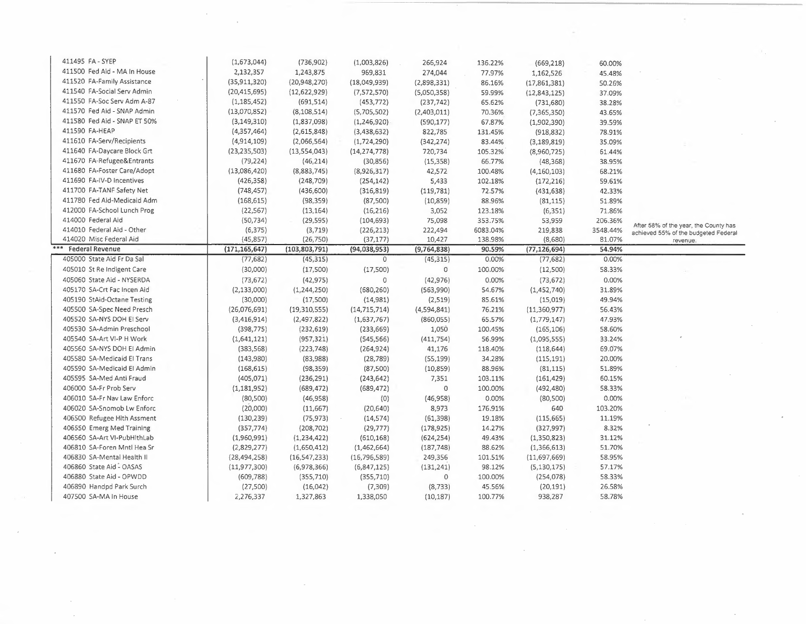| 411495 FA-SYEP               | (1,673,044)     | (736, 902)      | (1,003,826)    | 266,924       | 136.22%  | (669, 218)     | 60.00%   |                                                                               |
|------------------------------|-----------------|-----------------|----------------|---------------|----------|----------------|----------|-------------------------------------------------------------------------------|
| 411500 Fed Aid - MA In House | 2,132,357       | 1,243,875       | 969,831        | 274,044       | 77.97%   | 1,162,526      | 45.48%   |                                                                               |
| 411520 FA-Family Assistance  | (35, 911, 320)  | (20, 948, 270)  | (18,049,939)   | (2,898,331)   | 86.16%   | (17,861,381)   | 50.26%   |                                                                               |
| 411540 FA-Social Serv Admin  | (20, 415, 695)  | (12, 622, 929)  | (7,572,570)    | (5,050,358)   | 59.99%   | (12, 843, 125) | 37.09%   |                                                                               |
| 411550 FA-Soc Serv Adm A-87  | (1, 185, 452)   | (691, 514)      | (453, 772)     | (237, 742)    | 65.62%   | (731, 680)     | 38.28%   |                                                                               |
| 411570 Fed Aid - SNAP Admin  | (13,070,852)    | (8, 108, 514)   | (5,705,502)    | (2,403,011)   | 70.36%   | (7, 365, 350)  | 43.65%   |                                                                               |
| 411580 Fed Aid - SNAP ET 50% | (3, 149, 310)   | (1,837,098)     | (1,246,920)    | (590, 177)    | 67.87%   | (1,902,390)    | 39.59%   |                                                                               |
| 411590 FA-HEAP               | (4, 357, 464)   | (2,615,848)     | (3,438,632)    | 822,785       | 131.45%  | (918, 832)     | 78.91%   |                                                                               |
| 411610 FA-Serv/Recipients    | (4,914,109)     | (2,066,564)     | (1,724,290)    | (342, 274)    | 83.44%   | (3, 189, 819)  | 35.09%   |                                                                               |
| 411640 FA-Daycare Block Grt  | (23, 235, 503)  | (13,554,043)    | (14, 274, 778) | 720,734       | 105.32%  | (8,960,725)    | 61.44%   |                                                                               |
| 411670 FA-Refugee&Entrants   | (79, 224)       | (46, 214)       | (30, 856)      | (15, 358)     | 66.77%   | (48, 368)      | 38.95%   |                                                                               |
| 411680 FA-Foster Care/Adopt  | (13,086,420)    | (8,883,745)     | (8,926,317)    | 42,572        | 100.48%  | (4, 160, 103)  | 68.21%   |                                                                               |
| 411690 FA-IV-D Incentives    | (426, 358)      | (248, 709)      | (254, 142)     | 5,433         | 102.18%  | (172, 216)     | 59.61%   |                                                                               |
| 411700 FA-TANF Safety Net    | (748, 457)      | (436,600)       | (316, 819)     | (119, 781)    | 72.57%   | (431, 638)     | 42.33%   |                                                                               |
| 411780 Fed Aid-Medicaid Adm  | (168, 615)      | (98, 359)       | (87,500)       | (10, 859)     | 88.96%   | (81, 115)      | 51.89%   |                                                                               |
| 412000 FA-School Lunch Prog  | (22, 567)       | (13, 164)       | (16, 216)      | 3,052         | 123.18%  | (6, 351)       | 71.86%   |                                                                               |
| 414000 Federal Aid           | (50, 734)       | (29, 595)       | (104, 693)     | 75,098        | 353.75%  | 53,959         | 206.36%  |                                                                               |
| 414010 Federal Aid - Other   | (6, 375)        | (3, 719)        | (226, 213)     | 222,494       | 6083.04% | 219,838        | 3548.44% | After 58% of the year, the County has<br>achieved 55% of the budgeted Federal |
| 414020 Misc Federal Aid      | (45, 857)       | (26, 750)       | (37, 177)      | 10,427        | 138.98%  | (8,680)        | 81.07%   | revenue.                                                                      |
| <b>Federal Revenue</b>       | (171, 165, 647) | (103, 803, 791) | (94,038,953)   | (9, 764, 838) | 90.59%   | (77, 126, 694) | 54.94%   |                                                                               |
| 405000 State Aid Fr Da Sal   | (77, 682)       | (45, 315)       | $\mathbf 0$    | (45, 315)     | 0.00%    | (77, 682)      | 0.00%    |                                                                               |
| 405010 St Re Indigent Care   | (30,000)        | (17,500)        | (17,500)       | $\mathbf 0$   | 100.00%  | (12,500)       | 58.33%   |                                                                               |
| 405060 State Aid - NYSERDA   | (73, 672)       | (42, 975)       | $\circ$        | (42, 976)     | 0.00%    | (73, 672)      | 0.00%    |                                                                               |
| 405170 SA-Crt Fac Incen Aid  | (2, 133, 000)   | (1,244,250)     | (680, 260)     | (563,990)     | 54.67%   | (1,452,740)    | 31.89%   |                                                                               |
| 405190 StAid-Octane Testing  | (30,000)        | (17,500)        | (14,981)       | (2, 519)      | 85.61%   | (15,019)       | 49.94%   |                                                                               |
| 405500 SA-Spec Need Presch   | (26,076,691)    | (19,310,555)    | (14, 715, 714) | (4,594,841)   | 76.21%   | (11,360,977)   | 56.43%   |                                                                               |
| 405520 SA-NYS DOH EI Serv    | (3, 416, 914)   | (2,497,822)     | (1,637,767)    | (860, 055)    | 65.57%   | (1,779,147)    | 47.93%   |                                                                               |
| 405530 SA-Admin Preschool    | (398, 775)      | (232, 619)      | (233, 669)     | 1,050         | 100.45%  | (165, 106)     | 58.60%   |                                                                               |
| 405540 SA-Art VI-P H Work    | (1,641,121)     | (957, 321)      | (545, 566)     | (411, 754)    | 56.99%   | (1,095,555)    | 33.24%   |                                                                               |
| 405560 SA-NYS DOH El Admin   | (383, 568)      | (223, 748)      | (264, 924)     | 41,176        | 118.40%  | (118, 644)     | 69.07%   |                                                                               |
| 405580 SA-Medicaid El Trans  | (143,980)       | (83,988)        | (28, 789)      | (55, 199)     | 34.28%   | (115, 191)     | 20.00%   |                                                                               |
| 405590 SA-Medicaid El Admin  | (168, 615)      | (98, 359)       | (87,500)       | (10, 859)     | 88.96%   | (81, 115)      | 51.89%   |                                                                               |
| 405595 SA-Med Anti Fraud     | (405, 071)      | (236, 291)      | (243, 642)     | 7,351         | 103.11%  | (161, 429)     | 60.15%   |                                                                               |
| 406000 SA-Fr Prob Serv       | (1, 181, 952)   | (689, 472)      | (689, 472)     | $\mathbb O$   | 100.00%  | (492, 480)     | 58.33%   |                                                                               |
| 406010 SA-Fr Nav Law Enforc  | (80, 500)       | (46,958)        | (0)            | (46, 958)     | 0.00%    | (80, 500)      | 0.00%    |                                                                               |
| 406020 SA-Snomob Lw Enforc   | (20,000)        | (11,667)        | (20, 640)      | 8,973         | 176.91%  | 640            | 103.20%  |                                                                               |
| 406500 Refugee Hith Assment  | (130, 239)      | (75, 973)       | (14, 574)      | (61, 398)     | 19.18%   | (115, 665)     | 11.19%   |                                                                               |
| 406550 Emerg Med Training    | (357, 774)      | (208, 702)      | (29, 777)      | (178, 925)    | 14.27%   | (327, 997)     | 8.32%    |                                                                               |
| 406560 SA-Art VI-PubHlthLab  | (1,960,991)     | (1, 234, 422)   | (610, 168)     | (624, 254)    | 49.43%   | (1,350,823)    | 31.12%   |                                                                               |
| 406810 SA-Foren Mntl Hea Sr  | (2,829,277)     | (1,650,412)     | (1,462,664)    | (187, 748)    | 88.62%   | (1,366,613)    | 51.70%   |                                                                               |
| 406830 SA-Mental Health II   | (28, 494, 258)  | (16, 547, 233)  | (16, 796, 589) | 249,356       | 101.51%  | (11,697,669)   | 58.95%   |                                                                               |
| 406860 State Aid - OASAS     | (11, 977, 300)  | (6,978,366)     | (6,847,125)    | (131, 241)    | 98.12%   | (5, 130, 175)  | 57.17%   |                                                                               |
| 406880 State Aid - OPWDD     |                 |                 |                | 0             | 100.00%  | (254, 078)     | 58.33%   |                                                                               |
|                              | (609, 788)      | (355, 710)      | (355, 710)     |               |          |                |          |                                                                               |
| 406890 Handpd Park Surch     | (27,500)        | (16, 042)       | (7,309)        | (8, 733)      | 45.56%   | (20, 191)      | 26.58%   |                                                                               |

 $\sim 10^{-1}$ 

 $\mathcal{A}^{\mathcal{C}}$ 

 $\epsilon$ 

 $\sim$ 

 $\label{eq:2} \frac{1}{\sqrt{2\pi}}\sum_{i=1}^n\frac{1}{\sqrt{2\pi}}\int_{\mathbb{R}^n}\frac{1}{\sqrt{2\pi}}\frac{1}{\sqrt{2\pi}}\frac{1}{\sqrt{2\pi}}\frac{1}{\sqrt{2\pi}}\frac{1}{\sqrt{2\pi}}\frac{1}{\sqrt{2\pi}}\frac{1}{\sqrt{2\pi}}\frac{1}{\sqrt{2\pi}}\frac{1}{\sqrt{2\pi}}\frac{1}{\sqrt{2\pi}}\frac{1}{\sqrt{2\pi}}\frac{1}{\sqrt{2\pi}}\frac{1}{\sqrt{2\pi}}\frac{1}{\sqrt{2\pi}}\$ 

 $\sim$   $\sim$ 

 $\bar{z}$ 

 $\frac{1}{2}$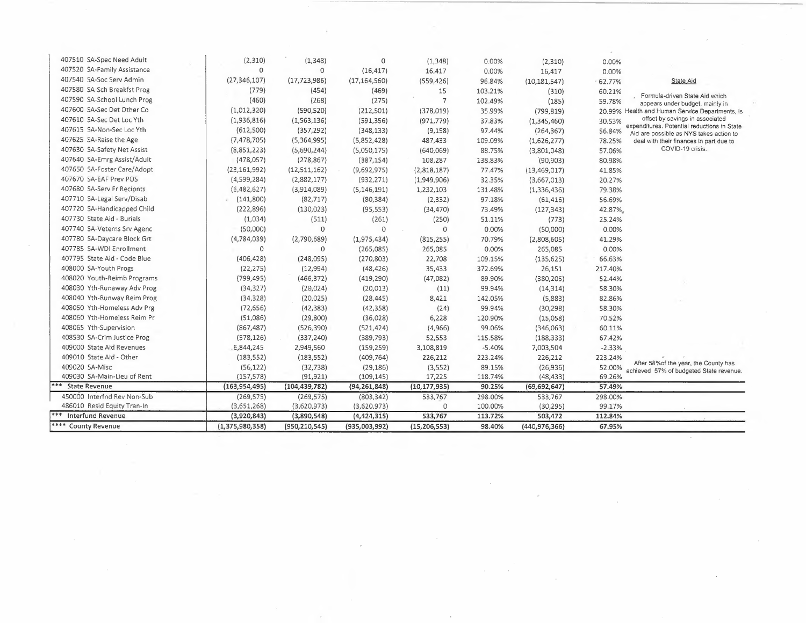| 407510 SA-Spec Need Adult       | (2,310)         | (1, 348)        | $\Omega$       | (1, 348)       | 0.00%    | (2,310)         | 0.00%    |                                                                                        |
|---------------------------------|-----------------|-----------------|----------------|----------------|----------|-----------------|----------|----------------------------------------------------------------------------------------|
| 407520 SA-Family Assistance     | $\mathbf 0$     | $\circ$         | (16, 417)      | 16,417         | 0.00%    | 16,417          | 0.00%    |                                                                                        |
| 407540 SA-Soc Serv Admin        | (27, 346, 107)  | (17, 723, 986)  | (17, 164, 560) | (559, 426)     | 96.84%   | (10, 181, 547)  | 62.77%   | State Aid                                                                              |
| 407580 SA-Sch Breakfst Prog     | (779)           | (454)           | (469)          | 15             | 103.21%  | (310)           | 60.21%   |                                                                                        |
| 407590 SA-School Lunch Prog     | (460)           | (268)           | (275)          | $\overline{7}$ | 102.49%  | (185)           | 59.78%   | Formula-driven State Aid which<br>appears under budget, mainly in                      |
| 407600 SA-Sec Det Other Co      | (1,012,320)     | (590, 520)      | (212, 501)     | (378, 019)     | 35.99%   | (799, 819)      |          | 20.99% Health and Human Service Departments, is                                        |
| 407610 SA-Sec Det Loc Yth       | (1,936,816)     | (1, 563, 136)   | (591, 356)     | (971, 779)     | 37.83%   | (1,345,460)     | 30.53%   | offset by savings in associated                                                        |
| 407615 SA-Non-Sec Loc Yth       | (612,500)       | (357, 292)      | (348, 133)     | (9, 158)       | 97.44%   | (264, 367)      | 56.84%   | expenditures. Potential reductions in State<br>Aid are possible as NYS takes action to |
| 407625 SA-Raise the Age         | (7, 478, 705)   | (5,364,995)     | (5,852,428)    | 487,433        | 109.09%  | (1,626,277)     | 78.25%   | deal with their finances in part due to                                                |
| 407630 SA-Safety Net Assist     | (8,851,223)     | (5,690,244)     | (5,050,175)    | (640,069)      | 88.75%   | (3,801,048)     | 57.06%   | COVID-19 crisis.                                                                       |
| 407640 SA-Emrg Assist/Adult     | (478,057)       | (278, 867)      | (387, 154)     | 108,287        | 138.83%  | (90, 903)       | 80.98%   |                                                                                        |
| 407650 SA-Foster Care/Adopt     | (23, 161, 992)  | (12,511,162)    | (9,692,975)    | (2,818,187)    | 77.47%   | (13, 469, 017)  | 41.85%   |                                                                                        |
| 407670 SA-EAF Prev POS          | (4,599,284)     | (2,882,177)     | (932, 271)     | (1,949,906)    | 32.35%   | (3,667,013)     | 20.27%   |                                                                                        |
| 407680 SA-Serv Fr Recipnts      | (E, 482, 627)   | (3,914,089)     | (5, 146, 191)  | 1,232,103      | 131.48%  | (1,336,436)     | 79.38%   |                                                                                        |
| 407710 SA-Legal Serv/Disab      | (141,800)       | (82, 717)       | (80, 384)      | (2, 332)       | 97.18%   | (61, 416)       | 56.69%   |                                                                                        |
| 407720 SA-Handicapped Child     | (222, 896)      | (130, 023)      | (95, 553)      | (34, 470)      | 73.49%   | (127, 343)      | 42.87%   |                                                                                        |
| 407730 State Aid - Burials      | (1,034)         | (511)           | (261)          | (250)          | 51.11%   | (773)           | 25.24%   |                                                                                        |
| 407740 SA-Veterns Srv Agenc     | (50,000)        | 0               | $\Omega$       | $\Omega$       | 0.00%    | (50,000)        | 0.00%    |                                                                                        |
| 407780 SA-Daycare Block Grt     | (4,784,039)     | (2,790,689)     | (1,975,434)    | (815, 255)     | 70.79%   | (2,808,605)     | 41.29%   |                                                                                        |
| 407785 SA-WDI Enrollment        | $\circ$         | 0               | (265,085)      | 265,085        | 0.00%    | 265,085         | 0.00%    |                                                                                        |
| 407795 State Aid - Code Blue    | (406, 428)      | (248,095)       | (270, 803)     | 22,708         | 109.15%  | (135, 625)      | 66.63%   |                                                                                        |
| 408000 SA-Youth Progs           | (22, 275)       | (12,994)        | (48, 426)      | 35,433         | 372.69%  | 26,151          | 217.40%  |                                                                                        |
| 408020 Youth-Reimb Programs     | (799, 495)      | (466, 372)      | (419, 290)     | (47,082)       | 89.90%   | (380, 205)      | 52.44%   |                                                                                        |
| 408030 Yth-Runaway Adv Prog     | (34, 327)       | (20, 024)       | (20, 013)      | (11)           | 99.94%   | (14, 314)       | 58.30%   |                                                                                        |
| 408040 Yth-Runway Reim Prog     | (34, 328)       | (20, 025)       | (28, 445)      | 8,421          | 142.05%  | (5,883)         | 82.86%   |                                                                                        |
| 408050 Yth-Homeless Adv Prg     | (72, 656)       | (42, 383)       | (42, 358)      | (24)           | 99.94%   | (30, 298)       | 58.30%   |                                                                                        |
| 408060 Yth-Homeless Reim Pr     | (51,086)        | (29, 800)       | (36,028)       | 6,228          | 120.90%  | (15,058)        | 70.52%   |                                                                                        |
| 408065 Yth-Supervision          | (867, 487)      | (526, 390)      | (521, 424)     | (4,966)        | 99.06%   | (346,063)       | 60.11%   |                                                                                        |
| 408530 SA-Crim Justice Prog     | (578, 126)      | (337, 240)      | (389, 793)     | 52,553         | 115.58%  | (188, 333)      | 67.42%   |                                                                                        |
| 409000 State Aid Revenues       | E,844,245       | 2,949,560       | (159, 259)     | 3,108,819      | $-5.40%$ | 7,003,504       | $-2.33%$ |                                                                                        |
| 409010 State Aid - Other        | (183, 552)      | (183, 552)      | (409, 764)     | 226,212        | 223.24%  | 226,212         | 223.24%  |                                                                                        |
| 409020 SA-Misc                  | (56, 122)       | (32, 738)       | (29, 186)      | (3,552)        | 89.15%   | (26, 936)       | 52.00%   | After 58% of the year, the County has<br>achieved 57% of budgeted State revenue.       |
| 409030 SA-Main-Lieu of Rent     | (157, 578)      | (91, 921)       | (109, 145)     | 17,225         | 118.74%  | (48, 433)       | 69.26%   |                                                                                        |
| <b>State Revenue</b>            | (163, 954, 495) | (104, 439, 782) | (94, 261, 848) | (10, 177, 935) | 90.25%   | (69, 692, 647)  | 57.49%   |                                                                                        |
| 450000 Interfnd Rev Non-Sub     | (269, 575)      | (269, 575)      | (803, 342)     | 533,767        | 298.00%  | 533,767         | 298.00%  |                                                                                        |
| 486010 Resid Equity Tran-In     | (3,651,268)     | (3,620,973)     | (3,620,973)    | $\circ$        | 100.00%  | (30, 295)       | 99.17%   |                                                                                        |
| ***<br><b>Interfund Revenue</b> | (3,920,843)     | (3,890,548)     | (4, 424, 315)  | 533,767        | 113.72%  | 503,472         | 112.84%  |                                                                                        |
| **** County Revenue             | (1,375,980,358) | (950, 210, 545) | (935,003,992)  | (15, 206, 553) | 98.40%   | (440, 976, 366) | 67.95%   |                                                                                        |

 $\label{eq:2} \frac{1}{\sqrt{2}}\sum_{i=1}^n\frac{1}{\sqrt{2}}\sum_{i=1}^n\frac{1}{\sqrt{2}}\sum_{i=1}^n\frac{1}{\sqrt{2}}\sum_{i=1}^n\frac{1}{\sqrt{2}}\sum_{i=1}^n\frac{1}{\sqrt{2}}\sum_{i=1}^n\frac{1}{\sqrt{2}}\sum_{i=1}^n\frac{1}{\sqrt{2}}\sum_{i=1}^n\frac{1}{\sqrt{2}}\sum_{i=1}^n\frac{1}{\sqrt{2}}\sum_{i=1}^n\frac{1}{\sqrt{2}}\sum_{i=1}^n\frac{1$ 

 $\sim$ 

 $\mathcal{L}_{\mathcal{L}}$ 

 $\mathcal{A}^{\mathcal{A}}$  and  $\mathcal{A}^{\mathcal{A}}$  and  $\mathcal{A}^{\mathcal{A}}$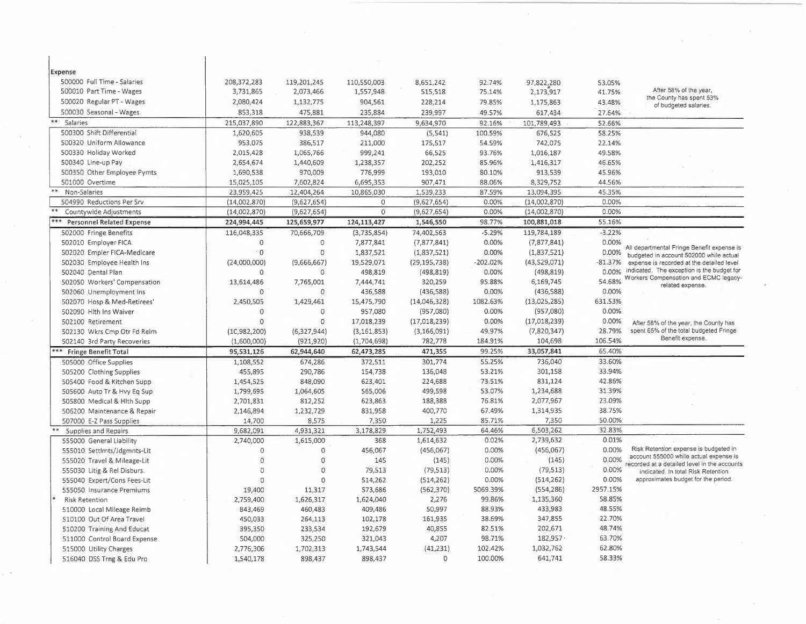| Expense                            |                |               |               |                |            |                 |           |                                                                                        |
|------------------------------------|----------------|---------------|---------------|----------------|------------|-----------------|-----------|----------------------------------------------------------------------------------------|
| 500000 Full Time - Salaries        | 208, 372, 283  | 119,201,245   | 110,550,003   | 8,651,242      | 92.74%     | 97,822,280      | 53.05%    |                                                                                        |
| 500010 Part Time - Wages           | 3,731,865      | 2,073,466     | 1,557,948     | 515,518        | 75.14%     | 2,173,917       | 41.75%    | After 58% of the year,                                                                 |
| 500020 Regular PT - Wages          | 2,080,424      | 1,132,775     | 904,561       | 228,214        | 79.85%     | 1,175,863       | 43.48%    | the County has spent 53%<br>of budgeted salaries.                                      |
| 500030 Seasonal - Wages            | 853,318        | 475,881       | 235,884       | 239,997        | 49.57%     | 617,434         | 27.64%    |                                                                                        |
| $***$<br>Salaries                  | 215,037,890    | 122,883,367   | 113,248,397   | 9,634,970      | 92.16%     | 101,789,493     | 52.66%    |                                                                                        |
| 500300 Shift Differential          | 1,620,605      | 938.539       | 944,080       | (5,541)        | 100.59%    | 676,525         | 58.25%    |                                                                                        |
| 500320 Uniform Allowance           | 953,075        | 386,517       | 211,000       | 175,517        | 54.59%     | 742,075         | 22.14%    |                                                                                        |
| 500330 Holiday Worked              | 2,015,428      | 1,065,766     | 999,241       | 66,525         | 93.76%     | 1,016,187       | 49.58%    |                                                                                        |
| 500340 Line-up Pay                 | 2,654,674      | 1,440,609     | 1,238,357     | 202,252        | 85.96%     | 1,416,317       | 46.65%    |                                                                                        |
| 500350 Other Employee Pymts        | 1,690,538      | 970,009       | 776,999       | 193,010        | 80.10%     | 913,539         | 45.96%    |                                                                                        |
| 501000 Overtime                    | 15,025,105     | 7,602,824     | 6,695,353     | 907,471        | 88.06%     | 8,329,752       | 44.56%    |                                                                                        |
| **<br>Non-Salaries                 | 23,959,425     | 12,404,264    | 10,865,030    | 1,539,233      | 87.59%     | 13,094,395      | 45.35%    |                                                                                        |
| 504990 Reductions Per Srv          | (14,002,870)   | (9,627,654)   | $\mathbf 0$   | (9,627,654)    | 0.00%      | (14,002,870)    | 0.00%     |                                                                                        |
| $***$<br>Countywide Adjustments    | (14,002,870)   | (9,627,654)   | $\Omega$      | (9,627,654)    | 0.00%      | (14,002,870)    | 0.00%     |                                                                                        |
| $***$<br>Personnel Related Expense | 224,994,445    | 125,659,977   | 124,113,427   | 1,546,550      | 98.77%     | 100,881,018     | 55.16%    |                                                                                        |
| 502000 Fringe Benefits             | 116,048,335    | 70,666,709    | (3,735,854)   | 74,402,563     | $-5.29%$   | 119,784,189     | $-3.22%$  |                                                                                        |
| 502010 Employer FICA               | $\circ$        | $\circ$       | 7,877,841     | (7, 877, 841)  | 0.00%      | (7,877,841)     | 0.00%     |                                                                                        |
| 502020 Empler FICA-Medicare        | $\cdot$ 0      | $\Omega$      | 1,837,521     | (1,837,521)    | 0.00%      | (1,837,521)     | 0.00%     | All departmental Fringe Benefit expense is<br>budgeted in account 502000 while actual  |
| 502030 Employee Health Ins         | (24,000,000)   | (9,666,667)   | 19,529,071    | (29, 195, 738) | $-202.02%$ | (43,529,071)    | $-81.37%$ | expense is recorded at the detailed level                                              |
| 502040 Dental Plan                 | $\Omega$       | 0             | 498,819       | (498, 819)     | 0.00%      | (498, 819)      | 0.00%     | indicated. The exception is the budget for                                             |
| 502050 Workers' Compensation       | 13,614,486     | 7,765,001     | 7,444,741     | 320,259        | 95.88%     | 6,169,745       | 54.68%    | Workers Compensation and ECMC legacy-<br>related expense.                              |
| 502060 Unemployment Ins            | $\Omega$       | $\circ$       | 436,588       | (436,588)      | 0.00%      | (436,588)       | 0.00%     |                                                                                        |
| 502070 Hosp & Med-Retirees'        | 2,450,505      | 1,429,461     | 15,475,790    | (14,046,328)   | 1082.63%   | (13,025,285)    | 631.53%   |                                                                                        |
| 502090 Hith Ins Waiver             | $\Omega$       | $\Omega$      | 957,080       | (957,080)      | 0.00%      | (957,080)       | 0.00%     |                                                                                        |
| 502100 Retirement                  | $\mathbf 0$    | 0             | 17,018,239    | (17,018,239)   | 0.00%      | (17,018,239)    | 0.00%     | After 58% of the year, the County has                                                  |
| 502130 Wkrs Cmp Otr Fd Reim        | (1C, 982, 200) | (6, 327, 944) | (3, 161, 853) | (3, 166, 091)  | 49.97%     | (7,820,347)     | 28.79%    | spent 65% of the total budgeted Fringe                                                 |
| 502140 3rd Party Recoveries        | (1,600,000)    | (921, 920)    | (1,704,698)   | 782,778        | 184.91%    | 104,698         | 106.54%   | Benefit expense.                                                                       |
| <b>Fringe Benefit Total</b>        | 95,531,126     | 62,944,640    | 62,473,285    | 471,355        | 99.25%     | 33,057,841      | 65.40%    |                                                                                        |
| 505000 Office Supplies             | 1,108,552      | 674,286       | 372,511       | 301,774        | 55.25%     | 736,040         | 33.60%    |                                                                                        |
| 505200 Clothing Supplies           | 455,895        | 290,786       | 154,738       | 136,048        | 53.21%     | 301,158         | 33.94%    |                                                                                        |
| 505400 Food & Kitchen Supp         | 1,454,525      | 848,090       | 623,401       | 224,688        | 73.51%     | 831,124         | 42.86%    |                                                                                        |
| 505600 Auto Tr & Hvy Eq Sup        | 1,799,695      | 1,064,605     | 565,006       | 499,598        | 53.07%     | 1,234,688       | 31.39%    |                                                                                        |
| 505800 Medical & Hlth Supp         | 2,701,831      | 812,252       | 623,863       | 188,388        | 76.81%     | 2,077,967       | 23.09%    |                                                                                        |
| 506200 Maintenance & Repair        | 2,146,894      | 1,232,729     | 831,958       | 400,770        | 67.49%     | 1,314,935       | 38.75%    |                                                                                        |
| 507000 E-Z Pass Supplies           | 14,700         | 8,575         | 7,350         | 1,225          | 85.71%     | 7,350           | 50.00%    |                                                                                        |
| Supplies and Repairs               | 9,682,091      | 4,931,321     | 3,178,829     | 1,752,493      | 64.46%     | 6,503,262       | 32.83%    |                                                                                        |
| 555000 General Liability           | 2,740,000      | 1,615,000     | 368           | 1,614,632      | 0.02%      | 2,739,632       | 0.01%     |                                                                                        |
| 555010 Settlmts/Jdgmnts-Lit        | $\overline{0}$ | $\circ$       | 456,067       | (456,067)      | 0.00%      | (456,067)       | 0.00%     | Risk Retention expense is budgeted in                                                  |
| 555020 Travel & Mileage-Lit        | $\mathbf 0$    | $\mathbb O$   | 145           | (145)          | 0.00%      | (145)           | 0.00%     | account 555000 while actual expense is<br>recorded at a detailed level in the accounts |
| 555030 Litig & Rel Disburs.        | $\Omega$       | $\mathbb O$   | 79,513        | (79, 513)      | 0.00%      | (79, 513)       | 0.00%     | indicated. In total Risk Retention                                                     |
| 555040 Expert/Cons Fees-Lit        | $\Omega$       | $\Omega$      | 514,262       | (514, 262)     | 0.00%      | (514, 262)      | 0.00%     | approximates budget for the period.                                                    |
| 555050 Insurance Premiums          | 19,400         | 11,317        | 573,686       | (562, 370)     | 5069.39%   | (554, 286)      | 2957.15%  |                                                                                        |
| <b>Risk Retention</b>              | 2,759,400      | 1,626,317     | 1,624,040     | 2,276          | 99.86%     | 1,135,360       | 58.85%    |                                                                                        |
| 510000 Local Mileage Reimb         | 843,469        | 460,483       | 409,486       | 50,997         | 88.93%     | 433,983         | 48.55%    |                                                                                        |
| 510100 Out Of Area Travel          | 450,033        | 264,113       | 102,178       | 161,935        | 38.69%     | 347,855         | 22.70%    |                                                                                        |
| 510200 Training And Educat         | 395,350        | 233,534       | 192,679       | 40,855         | 82.51%     | 202,671         | 48.74%    |                                                                                        |
| 511000 Control Board Expense       | 504,000        | 325,250       | 321,043       | 4,207          | 98.71%     | $182,957 \cdot$ | 63.70%    |                                                                                        |
| 515000 Utility Charges             | 2,776,306      | 1,702,313     | 1,743,544     | (41, 231)      | 102.42%    | 1,032,762       | 62.80%    |                                                                                        |
| 516040 DSS Trng & Edu Pro          | 1,540,178      | 898,437       | 898,437       | 0              | 100.00%    | 641,741         | 58.33%    |                                                                                        |

 $\mathcal{L}_{\mathcal{A}}$ 

 $\frac{1}{\sqrt{2}}$ 

, a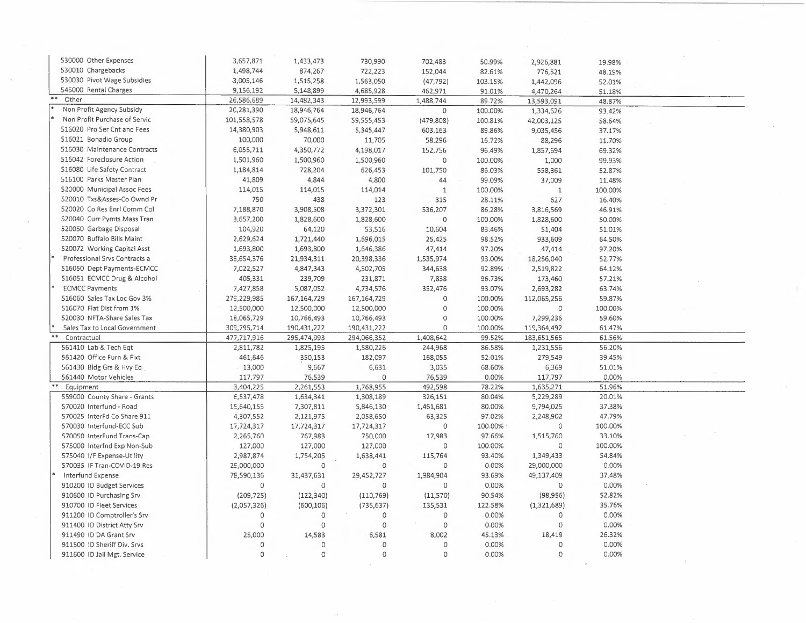| 530000 Other Expenses         | 3,657,871    | 1,433,473           | 730,990                    | 702,483                | 50.99%            | 2,926,881                  | 19.98%  |  |
|-------------------------------|--------------|---------------------|----------------------------|------------------------|-------------------|----------------------------|---------|--|
| 530010 Chargebacks            | 1,498,744    | 874,267             | 722,223                    | 152,044                | 82.61%            | 776,521                    | 48.19%  |  |
| 530030 Pivot Wage Subsidies   | 3,005,146    | 1,515,258           | 1,563,050                  | (47, 792)              | 103.15%           | 1,442,096                  | 52.01%  |  |
| 545000 Rental Charges         | 9,156,192    | 5,148,899           | 4,685,928                  | 462,971                | 91.01%            | 4,470,264                  | 51.18%  |  |
| $\ast\ast$<br>Other           | 26,586,689   | 14,482,343          | 12,993,599                 | 1,488,744              | 89.72%            | 13,593,091                 | 48.87%  |  |
| Non Profit Agency Subsidy     | 2C, 281, 390 | 18,946,764          | 18,946,764                 | $\mathsf O$            | 100.00%           | 1,334,626                  | 93.42%  |  |
| Non Profit Purchase of Servic | 101,558,578  | 59,075,645          | 59,555,453                 | (479, 808)             | 100.81%           | 42,003,125                 | 58.64%  |  |
| 516020 Pro Ser Cnt and Fees   | 14,380,903   | 5,948,611           | 5,345,447                  | 603,163                | 89.86%            | 9,035,456                  | 37.17%  |  |
| 516021 Bonadio Group          | 100,000      | 70,000              | 11,705                     | 58,296                 | 16.72%            | 88,296                     | 11.70%  |  |
| 516030 Maintenance Contracts  | E,055,711    | 4,350,772           | 4,198,017                  | 152,756                | 96.49%            | 1,857,694                  | 69.32%  |  |
| 516042 Foreclosure Action     | 1,501,960    | 1,500,960           | 1,500,960                  | $\circ$                | 100.00%           | 1,000                      | 99.93%  |  |
| 516080 Life Safety Contract   | 1,184,814    | 728,204             | 626,453                    | 101,750                | 86.03%            | 558,361                    | 52.87%  |  |
| 516100 Parks Master Plan      | 41,809       | 4,844               | 4,800                      | 44                     | 99.09%            | 37,009                     | 11.48%  |  |
| 520000 Municipal Assoc Fees   | 114,015      | 114,015             | 114,014                    | $\mathbf 1$            | 100.00%           | $\mathbf{1}$               | 100.00% |  |
| 520010 Txs&Asses-Co Ownd Pr   | 750          | 438                 | 123                        | 315                    | 28.11%            | 627                        | 16.40%  |  |
| 520020 Co Res Enrl Comm Col   | 7,188,870    | 3,908,508           | 3,372,301                  | 536,207                | 86.28%            | 3,816,569                  | 46.91%  |  |
| 520040 Curr Pymts Mass Tran   | 3,657,200    | 1,828,600           | 1,828,600                  | $\mathbb O$            | 100.00%           | 1,828,600                  | 50.00%  |  |
| 520050 Garbage Disposal       | 104,920      | 64,120              | 53,516                     | 10,604                 | 83.46%            | 51,404                     | 51.01%  |  |
| 520070 Buffalo Bills Maint    | 2,629,624    | 1,721,440           | 1,696,015                  | 25,425                 | 98.52%            | 933,609                    | 64.50%  |  |
| 520072 Working Capital Asst   | 1,693,800    | 1,693,800           | 1,646,386                  | 47,414                 | 97.20%            | 47,414                     | 97.20%  |  |
| Professional Srvs Contracts a | 38,654,376   | 21,934,311          | 20,398,336                 | 1,535,974              | 93.00%            | 18,256,040                 | 52.77%  |  |
| 516050 Dept Payments-ECMCC    | 7,022,527    | 4,847,343           | 4,502,705                  | 344,638                | 92.89%            | 2,519,822                  | 64.12%  |  |
| 516051 ECMCC Drug & Alcohol   | 405,331      | 239,709             | 231,871                    | 7,838                  | 96.73%            | 173,460                    | 57.21%  |  |
| <b>ECMCC Payments</b>         | 7,427,858    | 5,087,052           | 4,734,576                  | 352,476                | 93.07%            | 2,693,282                  | 63.74%  |  |
| 516060 Sales Tax Loc Gov 3%   | 279,229,985  | 167, 164, 729       | 167, 164, 729              | $\mathbf 0$            | 100.00%           |                            | 59.87%  |  |
| 516070 Flat Dist from 1%      | 12,500,000   | 12,500,000          | 12,500,000                 | 0                      | 100.00%           | 112,065,256<br>$\Omega$    | 100.00% |  |
| 520030 NFTA-Share Sales Tax   | 18,065,729   | 10,766,493          |                            | $\circ$                | 100.00%           | 7,299,236                  | 59.60%  |  |
| Sales Tax to Local Government | 309,795,714  | 190,431,222         | 10,766,493                 | 0                      |                   |                            | 61.47%  |  |
| Contractual                   | 477,717,916  | 295,474,993         | 190,431,222<br>294,066,352 | 1,408,642              | 100.00%<br>99.52% | 119,364,492<br>183,651,565 | 61.56%  |  |
| 561410 Lab & Tech Eqt         | 2,811,782    | 1,825,195           | 1,580,226                  | 244,968                | 86.58%            | 1,231,556                  | 56.20%  |  |
| 561420 Office Furn & Fixt     | 461,646      | 350,153             | 182,097                    | 168,055                | 52.01%            | 279,549                    | 39.45%  |  |
| 561430 Bldg Grs & Hvy Eq      | 13,000       | 9,667               | 6,631                      | 3,035                  | 68.60%            | 6,369                      | 51.01%  |  |
| 561440 Motor Vehicles         | 117,797      | 76,539              |                            | 76,539                 | 0.00%             | 117,797                    | 0.00%   |  |
| Equipment                     | 3,404,225    | 2,261,553           | 1,768,955                  | 492,598                | 78.22%            | 1,635,271                  | 51.96%  |  |
| 559000 County Share - Grants  | E, 537, 478  | 1,634,341           | 1,308,189                  | 326,151                | 80.04%            | 5,229,289                  | 20.01%  |  |
| 570020 Interfund - Road       | 15,640,155   | 7,307,811           | 5,846,130                  | 1,461,681              | 80.00%            | 9,794,025                  | 37.38%  |  |
| 570025 InterFd Co Share 911   | 4,307,552    | 2,121,975           | 2,058,650                  | 63,325                 | 97.02%            | 2,248,902                  | 47.79%  |  |
| 570030 Interfund-ECC Sub      | 17,724,317   | 17,724,317          | 17,724,317                 | $\circ$                | 100.00%           | $\circ$                    | 100.00% |  |
| 570050 InterFund Trans-Cap    | 2,265,760    | 767,983             | 750,000                    | 17,983                 | 97.66%            | 1,515,760                  | 33.10%  |  |
| 575000 Interfnd Exp Non-Sub   | 127,000      | 127,000             | 127,000                    | 0                      | 100.00%           | $\circ$                    | 100.00% |  |
| 575040 I/F Expense-Utility    | 2,987,874    | 1,754,205           | 1,638,441                  | 115,764                | 93.40%            | 1,349,433                  | 54.84%  |  |
| 570035 IF Tran-COVID-19 Res   | 29,000,000   | $\mathsf{O}\xspace$ | $\circ$                    | 0                      | 0.00%             | 29,000,000                 | 0.00%   |  |
| Interfund Expense             | 78,590,136   |                     |                            | 1,984,904              | 93.69%            | 49,137,409                 | 37.48%  |  |
|                               |              | 31,437,631          | 29,452,727                 |                        | 0.00%             |                            | 0.00%   |  |
| 910200 ID Budget Services     | $\mathbf 0$  | $\mathbf 0$         | 0                          | 0                      |                   | 0                          |         |  |
| 910600 ID Purchasing Srv      | (209, 725)   | (122, 340)          | (110, 769)                 | (11,570)               | 90.54%            | (98, 956)                  | 52.82%  |  |
| 910700 ID Fleet Services      | (2,057,326)  | (600, 106)          | (735, 637)                 | 135,531                | 122.58%           | (1,321,689)                | 35.76%  |  |
| 911200 ID Comptroller's Srv   | $\mathbf 0$  | 0                   | $\circ$                    | $\mathbf 0$            | 0.00%             | $\circ$                    | 0.00%   |  |
| 911400 ID District Atty Srv   | $\circ$      | $\mathbf{O}$        | $\circ$                    | $\mathsf{O}\xspace$    | 0.00%             | $\mathbf 0$                | 0.00%   |  |
| 911490 ID DA Grant Srv        | 25,000       | 14,583              | 6,581                      | 8,002                  | 45.13%            | 18,419                     | 26.32%  |  |
| 911500 ID Sheriff Div. Srvs   | $\circ$      | 0<br>$\circ$        | $\mathsf{O}\xspace$<br>0   | $\circ$<br>$\mathbf 0$ | 0.00%             | $\mathbf 0$<br>$\Omega$    | 0.00%   |  |
| 911600 ID Jail Mgt. Service   | $\circ$      |                     |                            |                        | 0.00%             |                            | 0.00%   |  |

 $\mathcal{A}$ 

 $\frac{1}{2}$ 

 $\hat{\mathcal{A}}$ 

 $\sim$ 

 $\sim$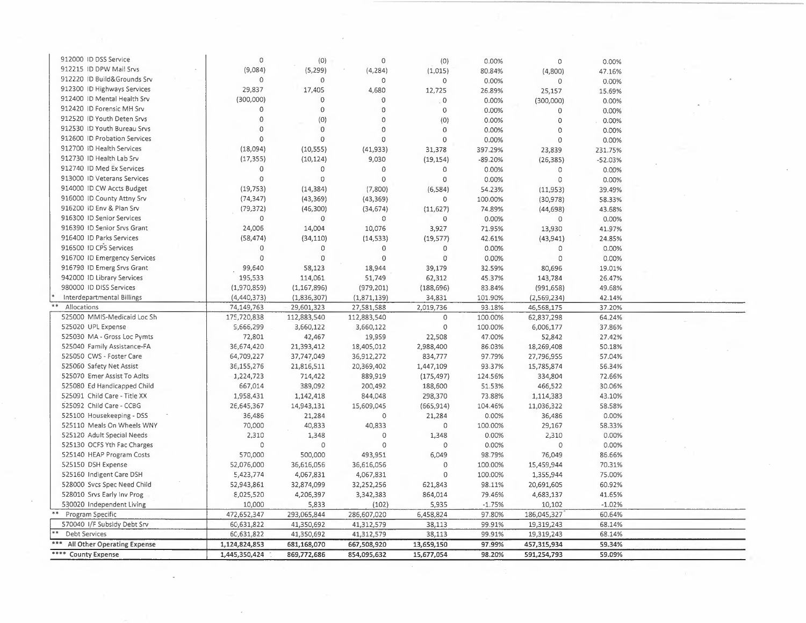| 912000 ID DSS Service        | 0                           | (0)                 | $\circ$        | (0)            | 0.00%     | $\mathbb O$           | 0.00%     |  |
|------------------------------|-----------------------------|---------------------|----------------|----------------|-----------|-----------------------|-----------|--|
| 912215 ID DPW Mail Srvs      | (9,084)                     | (5,299)             | (4, 284)       | (1,015)        | 80.84%    | (4,800)               | 47.16%    |  |
| 912220 ID Build&Grounds Srv  | $\Omega$                    | $\mathbf 0$         | $\circ$        | 0              | 0.00%     | $\circ$               | 0.00%     |  |
| 912300 ID Highways Services  | 29,837                      | 17,405              | 4,680          | 12,725         | 26.89%    | 25,157                | 15.69%    |  |
| 912400 ID Mental Health Srv  | (300,000)                   | $\mathbf 0$         | $\circ$        | $\circ$        | 0.00%     | (300,000)             | 0.00%     |  |
| 912420 ID Forensic MH Srv    | $\mathbf 0$                 | $\mathbf 0$         | $\mathbf 0$    | $\mathbf{0}$   | 0.00%     | 0                     | 0.00%     |  |
| 912520 ID Youth Deten Srvs   | $\mathbf 0$                 | (0)                 | $\circ$        | (0)            | 0.00%     | $\Omega$              | 0.00%     |  |
| 912530 ID Youth Bureau Srvs  | $\mathbf{0}$                | $\Omega$            | $\circ$        | $\mathbf{0}$   | 0.00%     | $\circ$               | 0.00%     |  |
| 912600 ID Probation Services | $\mathbf 0$                 | $\mathbf 0$         | $\mathbf 0$    | $\mathbf{0}$   | 0.00%     | $\overline{0}$        | 0.00%     |  |
| 912700 ID Health Services    | (18,094)                    | (10, 555)           | (41, 933)      | 31,378         | 397.29%   | 23,839                | 231.75%   |  |
| 912730 ID Health Lab Srv     | (17, 355)                   | (10, 124)           | 9,030          | (19, 154)      | $-89.20%$ | (26, 385)             | $-52.03%$ |  |
| 912740 ID Med Ex Services    | $\Omega$                    | $\circ$             | $\circ$        | $\circ$        | 0.00%     | $\circ$               | 0.00%     |  |
| 913000 ID Veterans Services  | $\circ$                     | $\circ$             | $\circ$        | $\circ$        | 0.00%     | $\circ$               | 0.00%     |  |
| 914000 ID CW Accts Budget    | (19, 753)                   | (14, 384)           | (7,800)        | (6, 584)       | 54.23%    | (11,953)              | 39.49%    |  |
| 916000 ID County Attny Srv   | (74, 347)                   | (43, 369)           | (43, 369)      | 0              | 100.00%   |                       |           |  |
| 916200 ID Env & Plan Srv     | (79, 372)                   | (46,300)            |                |                | 74.89%    | (30, 978)             | 58.33%    |  |
| 916300 ID Senior Services    | $\Omega$                    | $\mathbf 0$         | (34, 674)<br>0 | (11, 627)<br>0 |           | (44, 698)<br>$\Omega$ | 43.68%    |  |
| 916390 ID Senior Srvs Grant  | 24,006                      |                     |                |                | 0.00%     |                       | 0.00%     |  |
| 916400 ID Parks Services     |                             | 14,004              | 10,076         | 3,927          | 71.95%    | 13,930                | 41.97%    |  |
| 916500 ID CPS Services       | (58, 474)<br>$\overline{0}$ | (34, 110)           | (14, 533)      | (19, 577)      | 42.61%    | (43, 941)             | 24.85%    |  |
|                              | $\Omega$                    | $\circ$             | $\mathbf 0$    | 0              | 0.00%     | 0                     | 0.00%     |  |
| 916700 ID Emergency Services |                             | $\mathbf 0$         | $\mathbf{0}$   | 0              | 0.00%     | $\Omega$              | 0.00%     |  |
| 916790 ID Emerg Srvs Grant   | 99,640                      | 58,123              | 18,944         | 39,179         | 32.59%    | 80,696                | 19.01%    |  |
| 942000 ID Library Services   | 195,533                     | 114,061             | 51,749         | 62,312         | 45.37%    | 143,784               | 26.47%    |  |
| 980000 ID DISS Services      | (1,970,859)                 | (1, 167, 896)       | (979, 201)     | (188, 696)     | 83.84%    | (991, 658)            | 49.68%    |  |
| Interdepartmental Billings   | (4, 440, 373)               | (1,836,307)         | (1,871,139)    | 34,831         | 101.90%   | (2, 569, 234)         | 42.14%    |  |
| Allocations                  | 74,149,763                  | 29,601,323          | 27,581,588     | 2,019,736      | 93.18%    | 46,568,175            | 37.20%    |  |
| 525000 MMIS-Medicaid Loc Sh  | 175,720,838                 | 112,883,540         | 112,883,540    | $\circ$        | 100.00%   | 62,837,298            | 64.24%    |  |
| 525020 UPL Expense           | S,666,299                   | 3,660,122           | 3,660,122      | 0              | 100.00%   | 6,006,177             | 37.86%    |  |
| 525030 MA - Gross Loc Pymts  | 72,801                      | 42,467              | 19,959         | 22,508         | 47.00%    | 52,842                | 27.42%    |  |
| 525040 Family Assistance-FA  | 36,674,420                  | 21,393,412          | 18,405,012     | 2,988,400      | 86.03%    | 18,269,408            | 50.18%    |  |
| 525050 CWS - Foster Care     | 64,709,227                  | 37,747,049          | 36,912,272     | 834,777        | 97.79%    | 27,796,955            | 57.04%    |  |
| 525060 Safety Net Assist     | 36,155,276                  | 21,816,511          | 20,369,402     | 1,447,109      | 93.37%    | 15,785,874            | 56.34%    |  |
| 525070 Emer Assist To Adlts  | 1,224,723                   | 714,422             | 889,919        | (175, 497)     | 124.56%   | 334,804               | 72.66%    |  |
| 525080 Ed Handicapped Child  | 667,014                     | 389,092             | 200,492        | 188,600        | 51.53%    | 466,522               | 30.06%    |  |
| 525091 Child Care - Title XX | 1,958,431                   | 1,142,418           | 844,048        | 298,370        | 73.88%    | 1,114,383             | 43.10%    |  |
| 525092 Child Care - CCBG     | 26,645,367                  | 14,943,131          | 15,609,045     | (665, 914)     | 104.46%   | 11,036,322            | 58.58%    |  |
| 525100 Housekeeping - DSS    | 36,486                      | 21,284              | $\circ$        | 21,284         | 0.00%     | 36,486                | 0.00%     |  |
| 525110 Meals On Wheels WNY   | 70,000                      | 40,833              | 40,833         | $\circ$        | 100.00%   | 29,167                | 58.33%    |  |
| 525120 Adult Special Needs   | 2,310                       | 1,348               | $\circ$        | 1,348          | 0.00%     | 2,310                 | 0.00%     |  |
| 525130 OCFS Yth Fac Charges  | $\Omega$                    | $\mathsf{O}\xspace$ | $\circ$        | $\mathbf 0$    | 0.00%     | $\mathbf 0$           | 0.00%     |  |
| 525140 HEAP Program Costs    | 570,000                     | 500,000             | 493,951        | 6,049          | 98.79%    | 76,049                | 86.66%    |  |
| 525150 DSH Expense           | 52,076,000                  | 36,616,056          | 36,616,056     | $\mathbf{0}$   | 100.00%   | 15,459,944            | 70.31%    |  |
| 525160 Indigent Care DSH     | 5,423,774                   | 4,067,831           | 4,067,831      | $\mathbf{0}$   | 100.00%   | 1,355,944             | 75.00%    |  |
| 528000 Svcs Spec Need Child  | 52,943,861                  | 32,874,099          | 32,252,256     | 621,843        | 98.11%    | 20,691,605            | 60.92%    |  |
| 528010 Srvs Early Inv Prog   | 8,025,520                   | 4,206,397           | 3,342,383      | 864,014        | 79.46%    | 4,683,137             | 41.65%    |  |
| 530020 Independent Living    | 10,000                      | 5,833               | (102)          | 5,935          | $-1.75%$  | 10,102                | $-1.02%$  |  |
| Program Specific             | 472,652,347                 | 293,065,844         | 286,607,020    | 6,458,824      | 97.80%    | 186,045,327           | 60.64%    |  |
| 570040 I/F Subsidy Debt Srv  | 60,631,822                  | 41,350,692          | 41,312,579     | 38,113         | 99.91%    | 19,319,243            | 68.14%    |  |
| <b>Debt Services</b>         | 6C, 631, 822                | 41,350,692          | 41,312,579     | 38,113         | 99.91%    | 19,319,243            | 68.14%    |  |
| All Other Operating Expense  | 1,124,824,853               | 681,168,070         | 667,508,920    | 13,659,150     | 97.99%    | 457,315,934           | 59.34%    |  |
| **** County Expense          | 1,445,350,424               | 869,772,686         | 854,095,632    | 15,677,054     | 98.20%    | 591,254,793           | 59.09%    |  |
|                              |                             |                     |                |                |           |                       |           |  |

 $\epsilon$ 

G)